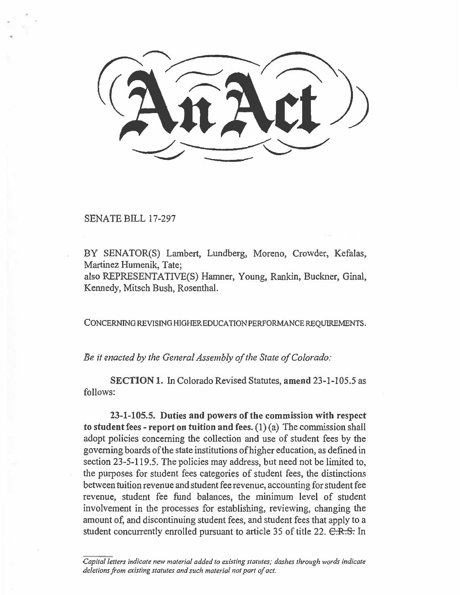## SENATE BILL 17-297

BY SENATOR(S) Lambert, Lundberg, Moreno, Crowder, Kefalas, Martinez Humenik, Tate;

also REPRESENTATIVE(S) Hamner, Young, Rankin, Buckner, Ginal, Kennedy, Mitsch Bush, Rosenthal.

CONCERNING REVISING HIGHER EDUCATION PERFORMANCE REQUIREMENTS.

*Be it enacted by the General Assembly of the State of Colorado:* 

**SECTION 1.** In Colorado Revised Statutes, **amend** 23-1-105.5 as follows:

**23-1-105.5. Duties and powers of the commission with respect to student fees - report on tuition and fees. (1)** *(a)* The commission shall adopt policies concerning the collection and use of student fees by the governing boards of the state institutions of higher education, as defined in section 23-5-119.5. The policies may address, but need not be limited to, the purposes for student fees categories of student fees, the distinctions between tuition revenue and student fee revenue, accounting for student fee revenue, student fee fund balances, the minimum level of student involvement in the processes for establishing, reviewing, changing the amount of, and discontinuing student fees, and student fees that apply to a student concurrently enrolled pursuant to article 35 of title 22. C.R.S. In

Capital letters indicate new material added to existing statutes; dashes through words indicate deletions from existing statutes and such material not part of act.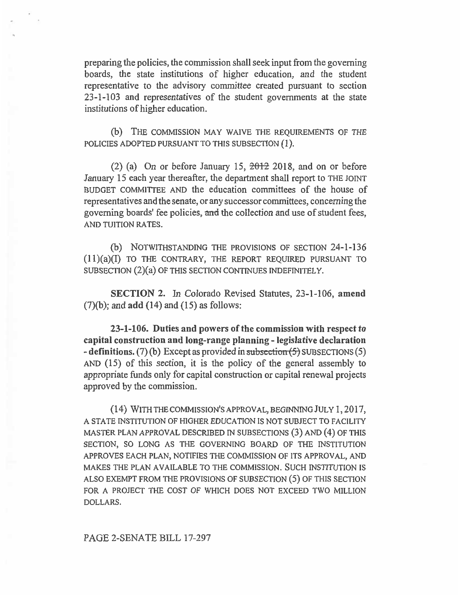preparing the policies, the commission shall seek input from the governing boards, the state institutions of higher education, and the student representative to the advisory committee created pursuant to section 23-1-103 and representatives of the student governments at the state institutions of higher education.

(b) THE COMMISSION MAY WAIVE THE REQUIREMENTS OF THE POLICIES ADOPTED PURSUANT TO THIS SUBSECTION **(1).** 

 $(2)$  (a) On or before January 15,  $\frac{2012}{2018}$ , and on or before January 15 each year thereafter, the department shall report to THE JOINT BUDGET COMMITTEE AND the education committees of the house of representatives and the senate, or any successor committees, concerning the governing boards' fee policies, and the collection and use of student fees, AND TUITION RATES.

(b) NOTWITHSTANDING THE PROVISIONS OF SECTION 24-1-136 (11)(a)(I) TO THE CONTRARY, THE REPORT REQUIRED PURSUANT TO SUBSECTION (2)(a) OF THIS SECTION CONTINUES INDEFINITELY.

SECTION 2. In Colorado Revised Statutes, 23-1-106, **amend**  (7)(b); and **add (14) and (15) as follows:** 

**23-1-106. Duties and powers of the commission with respect to capital construction and long-range planning - legislative declaration - definitions.** (7) (b) Except as provided in subsection (5) SUBSECTIONS (5) AND (15) of this section, it is the policy of the general assembly to appropriate funds only for capital construction or capital renewal projects approved by the commission.

(14) WITH THE COMMISSION'S APPROVAL, BEGINNING JULY 1, 2017, A STATE INSTITUTION OF HIGHER EDUCATION IS NOT SUBJECT TO FACILITY MASTER PLAN APPROVAL DESCRIBED IN SUBSECTIONS (3) AND (4) OF THIS SECTION, SO LONG AS THE GOVERNING BOARD OF THE INSTITUTION APPROVES EACH PLAN, NOTIFIES THE COMMISSION OF ITS APPROVAL, AND MAKES THE PLAN AVAILABLE TO THE COMMISSION. SUCH INSTITUTION IS ALSO EXEMPT FROM THE PROVISIONS OF SUBSECTION (5) OF THIS SECTION FOR A PROJECT THE COST OF WHICH DOES NOT EXCEED TWO MILLION DOLLARS.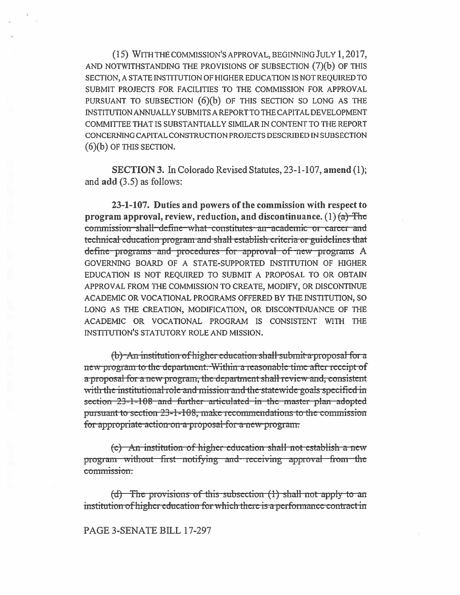(15) WITH THE COMMISSION'S APPROVAL, BEGINNING JULY 1, 2017, AND NOTWITHSTANDING THE PROVISIONS OF SUBSECTION  $(7)(b)$  OF THIS SECTION, A STATE INSTITUTION OF HIGHER EDUCATION IS NOT REQUIRED TO SUBMIT PROJECTS FOR FACILITIES TO THE COMMISSION FOR APPROVAL PURSUANT TO SUBSECTION (6)(b) OF THIS SECTION SO LONG AS THE INSTITUTION ANNUALLY SUBMITS A REPORT TO THE CAPITAL DEVELOPMENT COMMITTEE THAT IS SUBSTANTIALLY SIMILAR IN CONTENT TO THE REPORT CONCERNING CAPITAL CONSTRUCTION PROJECTS DESCRIBED IN SUBSECTION  $(6)(b)$  OF THIS SECTION.

**SECTION 3.** In Colorado Revised Statutes, 23-1-107, amend (1); and  $add(3.5)$  as follows:

23-1-107. Duties and powers of the commission with respect to program approval, review, reduction, and discontinuance.  $(1)$   $(a)$  The commission shall define what constitutes an academic or career and technical education program and shall establish criteria or guidelines that define programs and procedures for approval of new programs A GOVERNING BOARD OF A STATE-SUPPORTED INSTITUTION OF HIGHER EDUCATION IS NOT REQUIRED TO SUBMIT A PROPOSAL TO OR OBTAIN APPROVAL FROM THE COMMISSION TO CREATE, MODIFY, OR DISCONTINUE ACADEMIC OR VOCATIONAL PROGRAMS OFFERED BY THE INSTITUTION, SO LONG AS THE CREATION, MODIFICATION, OR DISCONTINUANCE OF THE ACADEMIC OR VOCATIONAL PROGRAM IS CONSISTENT WITH THE INSTITUTION'S STATUTORY ROLE AND MISSION.

(b) An institution of higher education shall submit a proposal for a new program to the department. Within a reasonable time after receipt of a proposal for a new program, the department shall review and, consistent with the institutional role and mission and the statewide goals specified in section 23-1-108 and further articulated in the master plan adopted pursuant to section 23-1-108, make recommendations to the commission for appropriate action on a proposal for a new program.

(c) An institution of higher education shall not establish a new program without first notifying and receiving approval from the commission.

 $(d)$  The provisions of this subsection  $(1)$  shall not apply to an institution of higher education for which there is a performance contract in

PAGE 3-SENATE BILL 17-297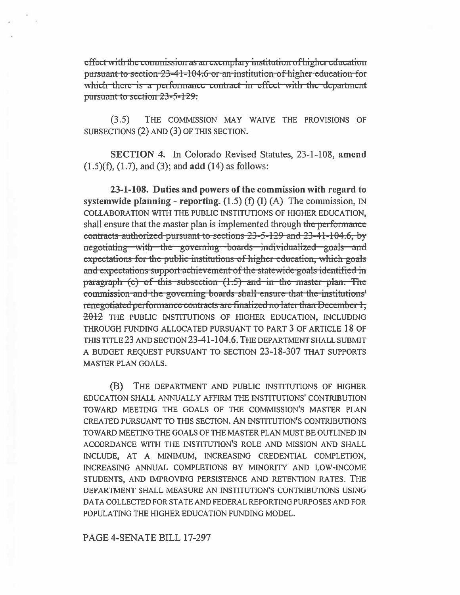effect with the commission as an exemplary institution of higher education pursuant to section 23-41-104.6 or an institution of higher education for which there is a performance contract in effect with the department pursuant to section 23-5-129:

THE COMMISSION MAY WAIVE THE PROVISIONS OF  $(3.5)$ SUBSECTIONS (2) AND (3) OF THIS SECTION.

SECTION 4. In Colorado Revised Statutes, 23-1-108, amend  $(1.5)(f)$ ,  $(1.7)$ , and  $(3)$ ; and add  $(14)$  as follows:

23-1-108. Duties and powers of the commission with regard to systemwide planning - reporting.  $(1.5)$  (f) (I) (A) The commission, IN COLLABORATION WITH THE PUBLIC INSTITUTIONS OF HIGHER EDUCATION, shall ensure that the master plan is implemented through the performance contracts authorized pursuant to sections 23-5-129 and 23-41-104.6, by negotiating with the governing boards individualized goals and expectations for the public institutions of higher education, which goals and expectations support achievement of the statewide goals identified in paragraph (c) of this subsection (1.5) and in the master plan. The commission and the governing boards shall ensure that the institutions' renegotiated performance contracts are finalized no later than December 1, 2012 THE PUBLIC INSTITUTIONS OF HIGHER EDUCATION, INCLUDING THROUGH FUNDING ALLOCATED PURSUANT TO PART 3 OF ARTICLE 18 OF THIS TITLE 23 AND SECTION 23-41-104.6. THE DEPARTMENT SHALL SUBMIT A BUDGET REQUEST PURSUANT TO SECTION 23-18-307 THAT SUPPORTS **MASTER PLAN GOALS.** 

(B) THE DEPARTMENT AND PUBLIC INSTITUTIONS OF HIGHER EDUCATION SHALL ANNUALLY AFFIRM THE INSTITUTIONS' CONTRIBUTION TOWARD MEETING THE GOALS OF THE COMMISSION'S MASTER PLAN CREATED PURSUANT TO THIS SECTION. AN INSTITUTION'S CONTRIBUTIONS TOWARD MEETING THE GOALS OF THE MASTER PLAN MUST BE OUTLINED IN ACCORDANCE WITH THE INSTITUTION'S ROLE AND MISSION AND SHALL INCLUDE, AT A MINIMUM, INCREASING CREDENTIAL COMPLETION, INCREASING ANNUAL COMPLETIONS BY MINORITY AND LOW-INCOME STUDENTS, AND IMPROVING PERSISTENCE AND RETENTION RATES. THE DEPARTMENT SHALL MEASURE AN INSTITUTION'S CONTRIBUTIONS USING DATA COLLECTED FOR STATE AND FEDERAL REPORTING PURPOSES AND FOR POPULATING THE HIGHER EDUCATION FUNDING MODEL.

PAGE 4-SENATE BILL 17-297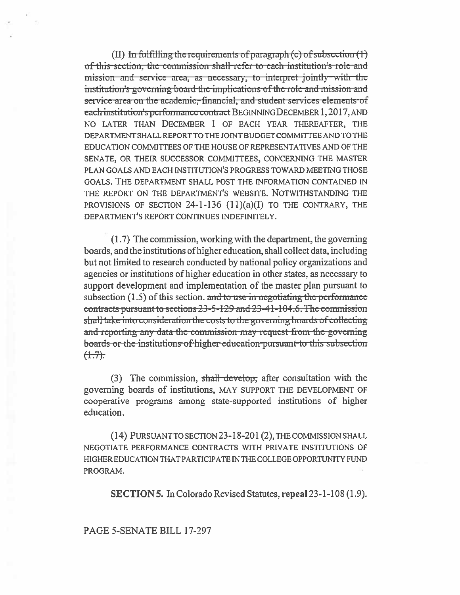$(II)$  In fulfilling the requirements of paragraph  $(c)$  of subsection  $(1)$ of this section, the commission shall-refer to each institution's role and mission and service area, as necessary, to interpret jointly-with the institution's governing board the implications of the role and mission and service area on the academic, financial, and student services elements of each institution's performance contract BEGINNING DECEMBER 1, 2017, AND NO LATER THAN DECEMBER 1 OF EACH YEAR THEREAFTER, THE DEPARTMENT SHALL REPORT TO THE JOINT BUDGET COMMITTEE AND TO THE EDUCATION COMMITTEES OF THE HOUSE OF REPRESENTATIVES AND OF THE SENATE, OR THEIR SUCCESSOR COMMITTEES, CONCERNING THE MASTER PLAN GOALS AND EACH INSTITUTION'S PROGRESS TOWARD MEETING THOSE GOALS. THE DEPARTMENT SHALL POST THE INFORMATION CONTAINED IN THE REPORT ON THE DEPARTMENT'S WEBSITE. NOTWITHSTANDING THE PROVISIONS OF SECTION 24-1-136  $(11)(a)(I)$  TO THE CONTRARY, THE DEPARTMENT'S REPORT CONTINUES INDEFINITELY.

(1.7) The commission, working with the department, the governing boards, and the institutions of higher education, shall collect data, including but not limited to research conducted by national policy organizations and agencies or institutions of higher education in other states, as necessary to support development and implementation of the master plan pursuant to subsection  $(1.5)$  of this section. and to use in negotiating the performance contracts pursuant to sections 23-5-129 and 23-41-104.6. The commission shall take into consideration the costs to the governing boards of collecting and reporting any data the commission may request from the governing boards or the institutions of higher education pursuant to this subsection  $(+7)$ :

(3) The commission, shall develop, after consultation with the governing boards of institutions, MAY SUPPORT THE DEVELOPMENT OF cooperative programs among state-supported institutions of higher education.

(14) PURSUANT TO SECTION 23-18-201 (2), THE COMMISSION SHALL NEGOTIATE PERFORMANCE CONTRACTS WITH PRIVATE INSTITUTIONS OF HIGHER EDUCATION THAT PARTICIPATE IN THE COLLEGE OPPORTUNITY FUND PROGRAM.

**SECTION 5.** In Colorado Revised Statutes, repeal 23-1-108 (1.9).

PAGE 5-SENATE BILL 17-297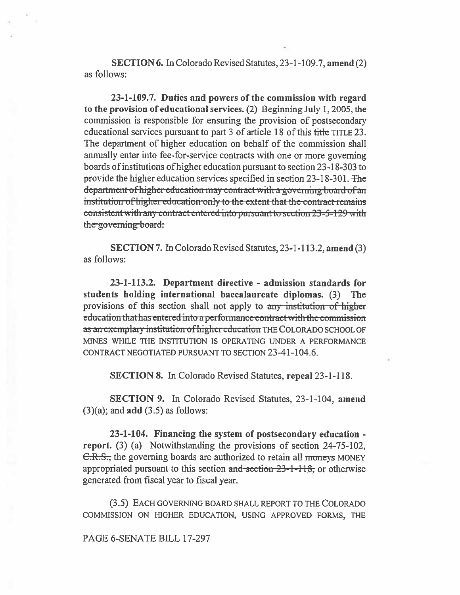**SECTION 6.** In Colorado Revised Statutes, 23-1-109.7, amend (2) as follows:

23-1-109.7. Duties and powers of the commission with regard to the provision of educational services. (2) Beginning July 1, 2005, the commission is responsible for ensuring the provision of postsecondary educational services pursuant to part 3 of article 18 of this title TITLE 23. The department of higher education on behalf of the commission shall annually enter into fee-for-service contracts with one or more governing boards of institutions of higher education pursuant to section 23-18-303 to provide the higher education services specified in section 23-18-301. The department of higher education may contract with a governing board of an institution of higher education only to the extent that the contract remains consistent with any contract entered into pursuant to section 23-5-129 with the governing board.

SECTION 7. In Colorado Revised Statutes, 23-1-113.2, amend (3) as follows:

23-1-113.2. Department directive - admission standards for students holding international baccalaureate diplomas. (3) The provisions of this section shall not apply to any institution of higher education that has entered into a performance contract with the commission as an exemplary institution of higher education THE COLORADO SCHOOL OF MINES WHILE THE INSTITUTION IS OPERATING UNDER A PERFORMANCE CONTRACT NEGOTIATED PURSUANT TO SECTION 23-41-104.6.

**SECTION 8.** In Colorado Revised Statutes, repeal 23-1-118.

SECTION 9. In Colorado Revised Statutes, 23-1-104, amend  $(3)(a)$ ; and add  $(3.5)$  as follows:

23-1-104. Financing the system of postsecondary education report. (3) (a) Notwithstanding the provisions of section 24-75-102, C.R.S., the governing boards are authorized to retain all moneys MONEY appropriated pursuant to this section  $\frac{1}{2}$  and section  $23-1-118$ , or otherwise generated from fiscal year to fiscal year.

(3.5) EACH GOVERNING BOARD SHALL REPORT TO THE COLORADO COMMISSION ON HIGHER EDUCATION, USING APPROVED FORMS, THE

PAGE 6-SENATE BILL 17-297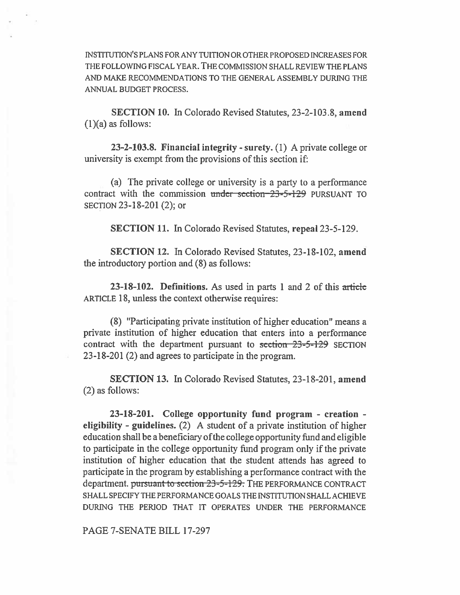INSTITUTION'S PLANS FOR ANY TUITION OR OTHER PROPOSED INCREASES FOR THE FOLLOWING FISCAL YEAR. THE COMMISSION SHALL REVIEW THE PLANS AND MAKE RECOMMENDATIONS TO THE GENERAL ASSEMBLY DURING THE ANNUAL BUDGET PROCESS.

SECTION 10. In Colorado Revised Statutes, 23-2-103.8, amend (1)(a) as follows:

23-2-103.8. Financial integrity - surety. (1) A private college or university is exempt from the provisions of this section if:

(a) The private college or university is a party to a performance contract with the commission under section 23-5-129 PURSUANT TO SECTION 23-18-201 (2); or

SECTION 11. In Colorado Revised Statutes, repeal 23-5-129.

SECTION 12. In Colorado Revised Statutes, 23-18-102, amend the introductory portion and (8) as follows:

**23-18-102. Definitions.** As used in parts 1 and 2 of this article ARTICLE 18, unless the context otherwise requires:

(8) "Participating private institution of higher education" means a private institution of higher education that enters into a performance contract with the department pursuant to  $\frac{\text{section}}{23 - 5 - 129}$  SECTION 23-18-201 (2) and agrees to participate in the program.

**SECTION 13. In** Colorado Revised Statutes, 23-18-201, **amend**  (2) as follows:

23-18-201. College **opportunity fund program - creation eligibility - guidelines.** (2) A student of a private institution of higher education shall be a beneficiary of the college opportunity fund and eligible to participate in the college opportunity fund program only if the private institution of higher education that the student attends has agreed to participate in the program by establishing a performance contract with the department. pursuant-to-section 23-5-129. THE PERFORMANCE CONTRACT SHALL SPECIFY THE PERFORMANCE GOALS THE INSTITUTION SHALL ACHIEVE DURING THE PERIOD THAT IT OPERATES UNDER THE PERFORMANCE

PAGE 7-SENATE BILL 17-297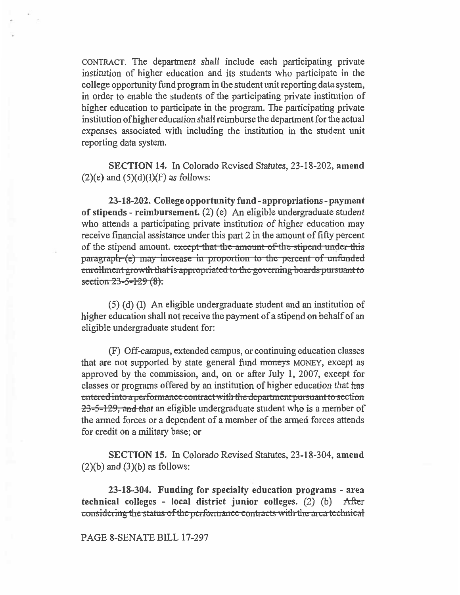CONTRACT. The department shall include each participating private institution of higher education and its students who participate in the college opportunity fund program in the student unit reporting data system, in order to enable the students of the participating private institution of higher education to participate in the program. The participating private institution ofhigher education shall reimburse the department for the actual expenses associated with including the institution in the student unit reporting data system.

**SECTION 14.** In Colorado Revised Statutes, 23-18-202, **amend**   $(2)(e)$  and  $(5)(d)(I)(F)$  as follows:

**23-18-202. College opportunity fund - appropriations - payment of stipends - reimbursement.** (2) (e) An eligible undergraduate student who attends a participating private institution of higher education may receive financial assistance under this part 2 in the amount of fifty percent of the stipend amount. except-that the amount of the stipend under this paragraph-(e) may increase in proportion to the percent of unfunded **the all algorith that is appropriated to the governing boards pursuant to**  $section 23 - 5 - 129 (8)$ .

(5) (d) (I) An eligible undergraduate student and an institution of higher education shall not receive the payment of a stipend on behalf of an eligible undergraduate student for:

(F) Off-campus, extended campus, or continuing education classes that are not supported by state general fund moneys MONEY, except as approved by the commission, and, on or after July 1, 2007, except for classes or programs offered by an institution of higher education that *has*  entered into a performance contract with the department pursuant to section  $23-5-129$ , and that an eligible undergraduate student who is a member of the armed forces or a dependent of a member of the armed forces attends for credit on a military base; or

**SECTION 15.** In Colorado Revised Statutes, 23-18-304, **amend**   $(2)(b)$  and  $(3)(b)$  as follows:

**23-18-304. Funding for specialty education programs - area technical colleges - local district junior colleges.** (2) (b) After considering the status of the performance contracts with the area-technical

## PAGE 8-SENATE BILL 17-297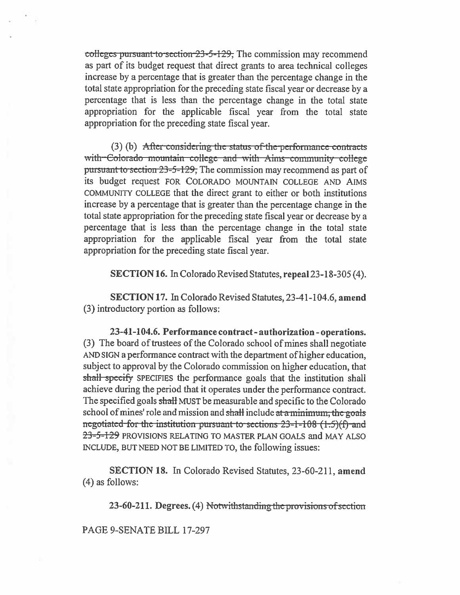colleges pursuant to section 23-5-129. The commission may recommend as part of its budget request that direct grants to area technical colleges increase by a percentage that is greater than the percentage change in the total state appropriation for the preceding state fiscal year or decrease by a percentage that is less than the percentage change in the total state appropriation for the applicable fiscal year from the total state appropriation for the preceding state fiscal year.

 $(3)$  (b) After considering the status of the performance contracts with Colorado mountain college and with Aims community college pursuant to section 23-5-129, The commission may recommend as part of its budget request FOR COLORADO MOUNTAIN COLLEGE AND AIMS COMMUNITY COLLEGE that the direct grant to either or both institutions increase by a percentage that is greater than the percentage change in the total state appropriation for the preceding state fiscal year or decrease by a percentage that is less than the percentage change in the total state appropriation for the applicable fiscal year from the total state appropriation for the preceding state fiscal year.

**SECTION 16.** In Colorado Revised Statutes, repeal 23-18-305 (4).

SECTION 17. In Colorado Revised Statutes, 23-41-104.6, amend (3) introductory portion as follows:

23-41-104.6. Performance contract - authorization - operations. (3) The board of trustees of the Colorado school of mines shall negotiate AND SIGN a performance contract with the department of higher education, subject to approval by the Colorado commission on higher education, that shall specify SPECIFIES the performance goals that the institution shall achieve during the period that it operates under the performance contract. The specified goals shall MUST be measurable and specific to the Colorado school of mines' role and mission and shall include at a minimum, the goals negotiated for the institution pursuant to sections  $23-1-108$   $(1.5)(f)$  and 23-5-129 PROVISIONS RELATING TO MASTER PLAN GOALS and MAY ALSO INCLUDE, BUT NEED NOT BE LIMITED TO, the following issues:

**SECTION 18.** In Colorado Revised Statutes, 23-60-211, amend  $(4)$  as follows:

23-60-211. Degrees. (4) Notwithstanding the provisions of section

PAGE 9-SENATE BILL 17-297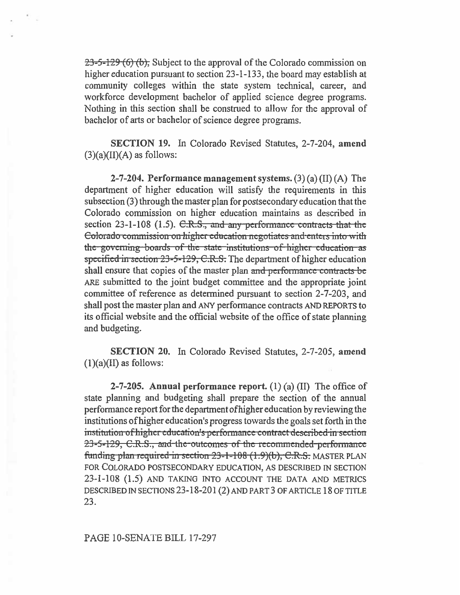$23-5-129(6)$  (b), Subject to the approval of the Colorado commission on higher education pursuant to section 23-1-133, the board may establish at community colleges within the state system technical, career, and workforce development bachelor of applied science degree programs. Nothing in this section shall be construed to allow for the approval of bachelor of arts or bachelor of science degree programs.

**SECTION 19. In** Colorado Revised Statutes, 2-7-204, **amend**   $(3)(a)(II)(A)$  as follows:

**2-7-204. Performance management systems. (3) (a) (II)** (A) The department of higher education will satisfy the requirements in this subsection (3) through the master plan for postsecondary education that the Colorado commission on higher education maintains as described in section  $23-1-108$  (1.5). C.R.S., and any performance contracts that the **example 2** Colorado commission on higher education negotiates and enters into with the governing boards of the state institutions of higher education as **formally specified in section 23-5-129, C.R.S.** The department of higher education **shall ensure that copies of the master plan and performance contracts be ARE submitted to the joint budget committee and the appropriate joint committee of reference as determined pursuant to section 2-7-203, and shall post the master plan and ANY** performance contracts **AND REPORTS to**  its official website and the official website of the office of state planning and budgeting.

**SECTION 20. In** Colorado Revised Statutes, 2-7-205, **amend (1)(a)(II) as follows:** 

**2-7-205. Annual performance report. (1) (a)** (II) The office of state planning and budgeting shall prepare the section of the annual performance report for the department ofhigher education by reviewing the institutions of higher education's progress towards the goals set forth in the institution of higher education's performance contract described-in section 23-5-129, C.R.S., and the outcomes of the recommended performance **funding plan required in section 23-1-108 (1.9)(b), C.R.S. MASTER PLAN FOR COLORADO POSTSECONDARY EDUCATION, AS DESCRIBED IN SECTION 23-1-108 (1.5) AND TAKING INTO ACCOUNT THE DATA AND METRICS DESCRIBED IN SECTIONS** 23-18-201 (2) **AND PART** 3 **OF ARTICLE** 18 **OF TITLE**  23.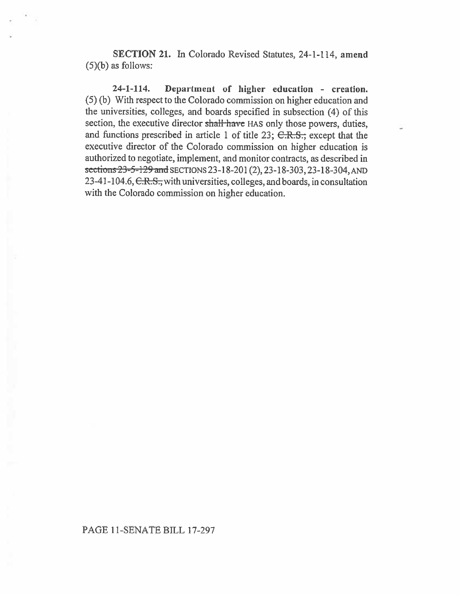**SECTION 21.** In Colorado Revised Statutes, 24-1-114, **amend**  (5)(b) as follows:

**24-1-114. Department of higher education - creation.**  (5) (b) With respect to the Colorado commission on higher education and the universities, colleges, and boards specified in subsection (4) of this section, the executive director shall have HAS only those powers, duties, and functions prescribed in **article I of** title 23; C.R.S., except that **the**  executive director of the Colorado commission on higher education is authorized to negotiate, implement, and monitor contracts, as described in sections23-5-129and SECTIONS 23-18-201 (2), 23-18-303, 23-18-304, AND 23-41-104.6, C.R.S., with universities, colleges, and boards, in consultation with the Colorado commission on higher **education.**